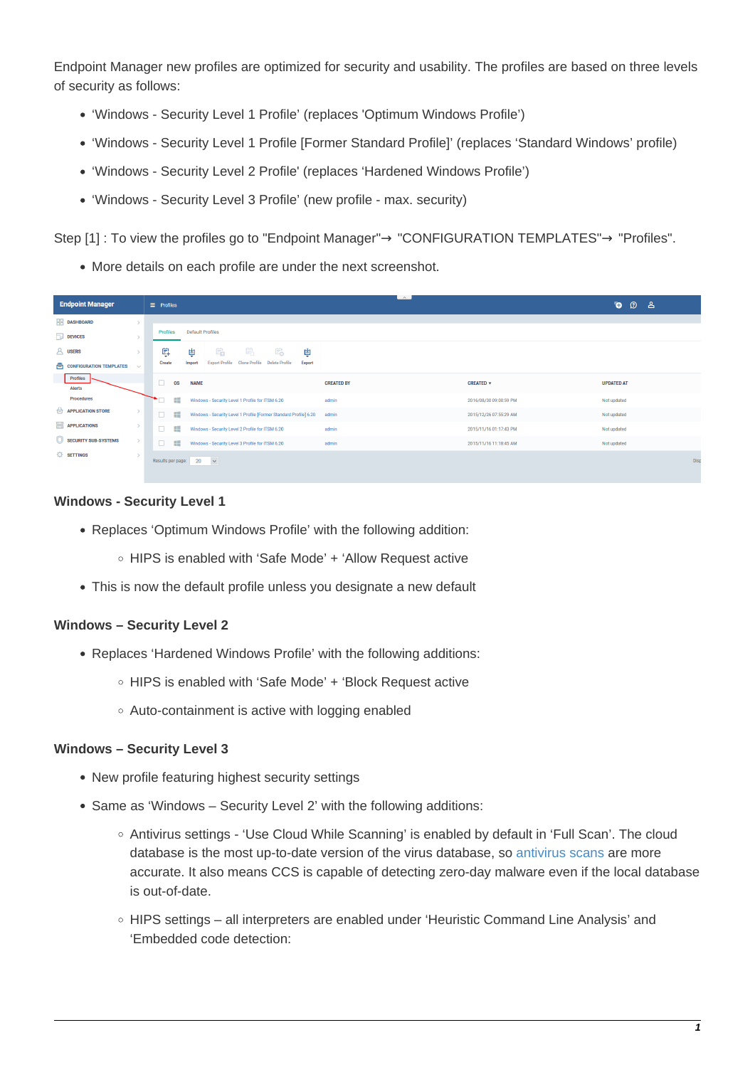Endpoint Manager new profiles are optimized for security and usability. The profiles are based on three levels of security as follows:

- 'Windows Security Level 1 Profile' (replaces 'Optimum Windows Profile')
- 'Windows Security Level 1 Profile [Former Standard Profile]' (replaces 'Standard Windows' profile)
- 'Windows Security Level 2 Profile' (replaces 'Hardened Windows Profile')
- 'Windows Security Level 3 Profile' (new profile max. security)

Step [1] : To view the profiles go to "Endpoint Manager"→ "CONFIGURATION TEMPLATES"→ "Profiles".

More details on each profile are under the next screenshot.

| <b>Endpoint Manager</b>                           | $\equiv$ Profiles                                                                                    | $\sim$            |                        | Ō.<br><b>D</b> &  |  |
|---------------------------------------------------|------------------------------------------------------------------------------------------------------|-------------------|------------------------|-------------------|--|
| <b>HI DASHBOARD</b>                               |                                                                                                      |                   |                        |                   |  |
| $\Box$ DEVICES                                    | <b>Default Profiles</b><br>Profiles                                                                  |                   |                        |                   |  |
| <b>A</b> USERS                                    | 串<br>鸟<br>圖<br>的。<br>南<br>南                                                                          |                   |                        |                   |  |
| <b>A</b> CONFIGURATION TEMPLATES<br>$\mathcal{A}$ | <b>Clone Profile</b><br><b>Export Profile</b><br><b>Delete Profile</b><br>Export<br>Create<br>Import |                   |                        |                   |  |
| Profiles<br><b>Alerts</b>                         | □<br><b>OS</b><br><b>NAME</b>                                                                        | <b>CREATED BY</b> | CREATED +              | <b>UPDATED AT</b> |  |
| Procedures                                        | æ<br>Windows - Security Level 1 Profile for ITSM 6.20                                                | admin             | 2016/08/30 09:00:59 PM | Not updated       |  |
| $\triangle$ APPLICATION STORE                     | $\Box$<br>H.<br>Windows - Security Level 1 Profile [Former Standard Profile] 6.20                    | admin             | 2015/12/26 07:55:29 AM | Not updated       |  |
| <b>EXPERIENCE APPLICATIONS</b>                    | $\Box$<br>86<br>Windows - Security Level 2 Profile for ITSM 6.20                                     | admin             | 2015/11/16 01:17:43 PM | Not updated       |  |
| SECURITY SUB-SYSTEMS<br>$\rightarrow$             | $\Box$<br>89<br>Windows - Security Level 3 Profile for ITSM 6.20                                     | admin             | 2015/11/16 11:18:45 AM | Not updated       |  |
| <b>OF SETTINGS</b><br>$\rightarrow$               | Results per page: 20<br>$\checkmark$                                                                 |                   |                        | Disp              |  |

## **Windows - Security Level 1**

- Replaces 'Optimum Windows Profile' with the following addition:
	- HIPS is enabled with 'Safe Mode' + 'Allow Request active
- This is now the default profile unless you designate a new default

## **Windows – Security Level 2**

- Replaces 'Hardened Windows Profile' with the following additions:
	- HIPS is enabled with 'Safe Mode' + 'Block Request active
	- Auto-containment is active with logging enabled

## **Windows – Security Level 3**

- New profile featuring highest security settings
- Same as 'Windows Security Level 2' with the following additions:
	- Antivirus settings 'Use Cloud While Scanning' is enabled by default in 'Full Scan'. The cloud database is the most up-to-date version of the virus database, so [antivirus scans](https://antivirus.comodo.com/free-antivirus.php) are more accurate. It also means CCS is capable of detecting zero-day malware even if the local database is out-of-date.
	- HIPS settings all interpreters are enabled under 'Heuristic Command Line Analysis' and 'Embedded code detection: